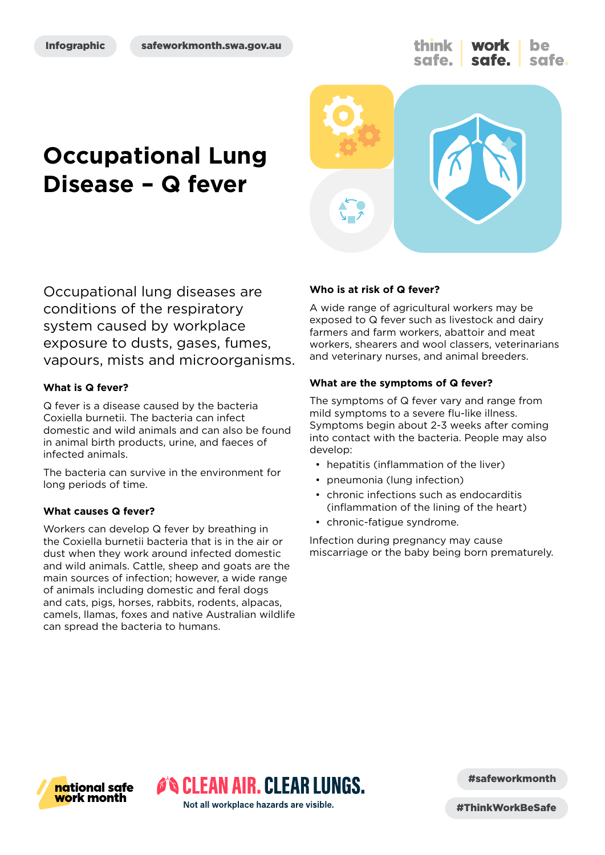#### Infographic



# **Occupational Lung Disease – Q fever**



Occupational lung diseases are conditions of the respiratory system caused by workplace exposure to dusts, gases, fumes, vapours, mists and microorganisms.

#### **What is Q fever?**

Q fever is a disease caused by the bacteria Coxiella burnetii. The bacteria can infect domestic and wild animals and can also be found in animal birth products, urine, and faeces of infected animals.

The bacteria can survive in the environment for long periods of time.

#### **What causes Q fever?**

Workers can develop Q fever by breathing in the Coxiella burnetii bacteria that is in the air or dust when they work around infected domestic and wild animals. Cattle, sheep and goats are the main sources of infection; however, a wide range of animals including domestic and feral dogs and cats, pigs, horses, rabbits, rodents, alpacas, camels, llamas, foxes and native Australian wildlife can spread the bacteria to humans.

#### **Who is at risk of Q fever?**

A wide range of agricultural workers may be exposed to Q fever such as livestock and dairy farmers and farm workers, abattoir and meat workers, shearers and wool classers, veterinarians and veterinary nurses, and animal breeders.

#### **What are the symptoms of Q fever?**

The symptoms of Q fever vary and range from mild symptoms to a severe flu-like illness. Symptoms begin about 2-3 weeks after coming into contact with the bacteria. People may also develop:

- hepatitis (inflammation of the liver)
- pneumonia (lung infection)
- chronic infections such as endocarditis (inflammation of the lining of the heart)
- chronic-fatigue syndrome.

Infection during pregnancy may cause miscarriage or the baby being born prematurely.



#safeworkmonth

Not all workplace hazards are visible.

**O'S CLEAN AIR. CLEAR LUNGS.** 

#ThinkWorkBeSafe